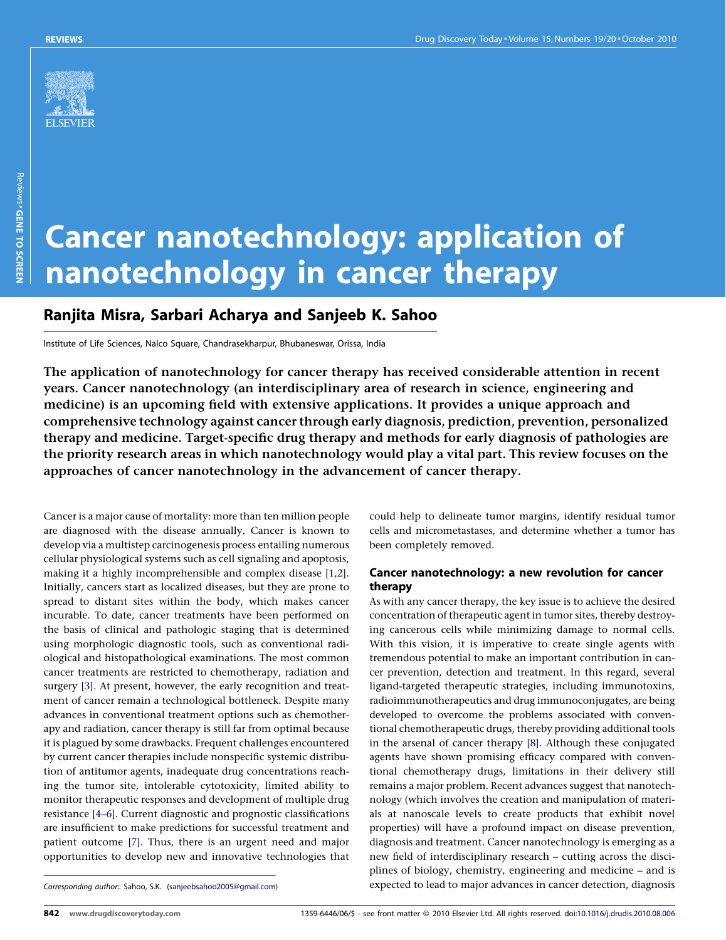# Cancer nanotechnology: application of nanotechnology in cancer therapy

# Ranjita Misra, Sarbari Acharya and Sanjeeb K. Sahoo

Institute of Life Sciences, Nalco Square, Chandrasekharpur, Bhubaneswar, Orissa, India

The application of nanotechnology for cancer therapy has received considerable attention in recent years. Cancer nanotechnology (an interdisciplinary area of research in science, engineering and medicine) is an upcoming field with extensive applications. It provides a unique approach and comprehensive technology against cancer through early diagnosis, prediction, prevention, personalized therapy and medicine. Target-specific drug therapy and methods for early diagnosis of pathologies are the priority research areas in which nanotechnology would play a vital part. This review focuses on the approaches of cancer nanotechnology in the advancement of cancer therapy.

Cancer is a major cause of mortality: more than ten million people are diagnosed with the disease annually. Cancer is known to develop via a multistep carcinogenesis process entailing numerous cellular physiological systems such as cell signaling and apoptosis, making it a highly incomprehensible and complex disease [\[1,2\]](#page-7-0). Initially, cancers start as localized diseases, but they are prone to spread to distant sites within the body, which makes cancer incurable. To date, cancer treatments have been performed on the basis of clinical and pathologic staging that is determined using morphologic diagnostic tools, such as conventional radiological and histopathological examinations. The most common cancer treatments are restricted to chemotherapy, radiation and surgery [\[3\].](#page-7-0) At present, however, the early recognition and treatment of cancer remain a technological bottleneck. Despite many advances in conventional treatment options such as chemotherapy and radiation, cancer therapy is still far from optimal because it is plagued by some drawbacks. Frequent challenges encountered by current cancer therapies include nonspecific systemic distribution of antitumor agents, inadequate drug concentrations reaching the tumor site, intolerable cytotoxicity, limited ability to monitor therapeutic responses and development of multiple drug resistance [\[4–6\]](#page-7-0). Current diagnostic and prognostic classifications are insufficient to make predictions for successful treatment and patient outcome [\[7\]](#page-8-0). Thus, there is an urgent need and major opportunities to develop new and innovative technologies that

# Cancer nanotechnology: a new revolution for cancer therapy

As with any cancer therapy, the key issue is to achieve the desired concentration of therapeutic agent in tumor sites, thereby destroying cancerous cells while minimizing damage to normal cells. With this vision, it is imperative to create single agents with tremendous potential to make an important contribution in cancer prevention, detection and treatment. In this regard, several ligand-targeted therapeutic strategies, including immunotoxins, radioimmunotherapeutics and drug immunoconjugates, are being developed to overcome the problems associated with conventional chemotherapeutic drugs, thereby providing additional tools in the arsenal of cancer therapy [\[8\]](#page-8-0). Although these conjugated agents have shown promising efficacy compared with conventional chemotherapy drugs, limitations in their delivery still remains a major problem. Recent advances suggest that nanotechnology (which involves the creation and manipulation of materials at nanoscale levels to create products that exhibit novel properties) will have a profound impact on disease prevention, diagnosis and treatment. Cancer nanotechnology is emerging as a new field of interdisciplinary research – cutting across the disciplines of biology, chemistry, engineering and medicine – and is expected to lead to major advances in cancer detection, diagnosis

could help to delineate tumor margins, identify residual tumor cells and micrometastases, and determine whether a tumor has been completely removed.

Corresponding author:. Sahoo, S.K. ([sanjeebsahoo2005@gmail.com\)](mailto:sanjeebsahoo2005@gmail.com)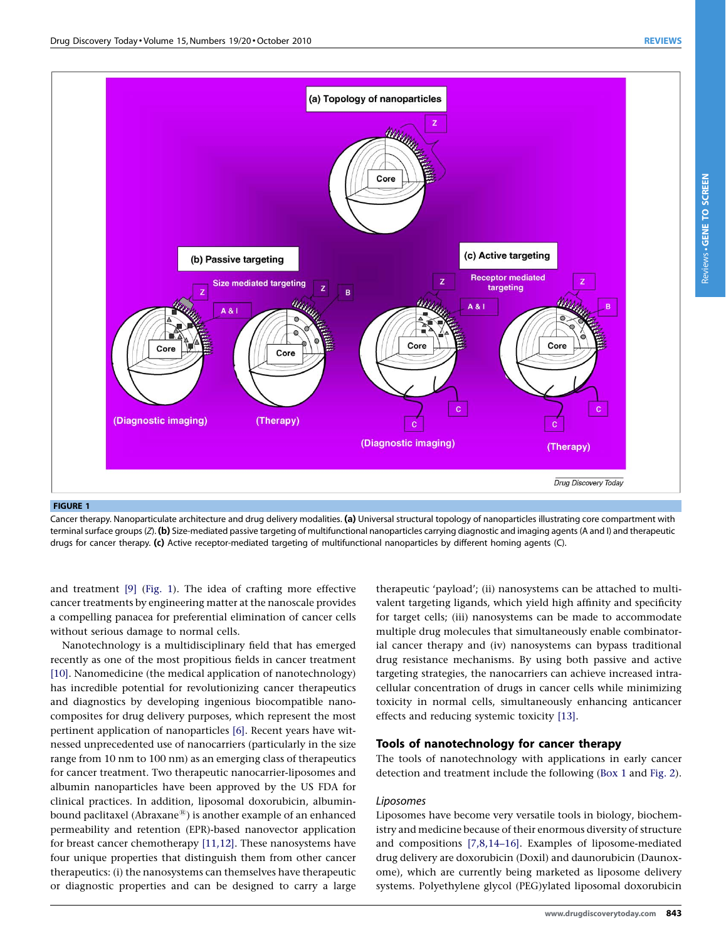

Cancer therapy. Nanoparticulate architecture and drug delivery modalities. (a) Universal structural topology of nanoparticles illustrating core compartment with terminal surface groups (Z). (b) Size-mediated passive targeting of multifunctional nanoparticles carrying diagnostic and imaging agents (A and I) and therapeutic drugs for cancer therapy. (c) Active receptor-mediated targeting of multifunctional nanoparticles by different homing agents (C).

and treatment [\[9\]](#page-8-0) (Fig. 1). The idea of crafting more effective cancer treatments by engineering matter at the nanoscale provides a compelling panacea for preferential elimination of cancer cells without serious damage to normal cells.

Nanotechnology is a multidisciplinary field that has emerged recently as one of the most propitious fields in cancer treatment [\[10\].](#page-8-0) Nanomedicine (the medical application of nanotechnology) has incredible potential for revolutionizing cancer therapeutics and diagnostics by developing ingenious biocompatible nanocomposites for drug delivery purposes, which represent the most pertinent application of nanoparticles [\[6\].](#page-8-0) Recent years have witnessed unprecedented use of nanocarriers (particularly in the size range from 10 nm to 100 nm) as an emerging class of therapeutics for cancer treatment. Two therapeutic nanocarrier-liposomes and albumin nanoparticles have been approved by the US FDA for clinical practices. In addition, liposomal doxorubicin, albuminbound paclitaxel (Abraxane $\mathbb{B}$ ) is another example of an enhanced permeability and retention (EPR)-based nanovector application for breast cancer chemotherapy [\[11,12\].](#page-8-0) These nanosystems have four unique properties that distinguish them from other cancer therapeutics: (i) the nanosystems can themselves have therapeutic or diagnostic properties and can be designed to carry a large

therapeutic 'payload'; (ii) nanosystems can be attached to multivalent targeting ligands, which yield high affinity and specificity for target cells; (iii) nanosystems can be made to accommodate multiple drug molecules that simultaneously enable combinatorial cancer therapy and (iv) nanosystems can bypass traditional drug resistance mechanisms. By using both passive and active targeting strategies, the nanocarriers can achieve increased intracellular concentration of drugs in cancer cells while minimizing toxicity in normal cells, simultaneously enhancing anticancer effects and reducing systemic toxicity [\[13\].](#page-8-0)

# Tools of nanotechnology for cancer therapy

The tools of nanotechnology with applications in early cancer detection and treatment include the following ([Box 1](#page-2-0) and [Fig. 2\)](#page-2-0).

## Liposomes

Liposomes have become very versatile tools in biology, biochemistry and medicine because of their enormous diversity of structure and compositions [\[7,8,14–16\]](#page-8-0). Examples of liposome-mediated drug delivery are doxorubicin (Doxil) and daunorubicin (Daunoxome), which are currently being marketed as liposome delivery systems. Polyethylene glycol (PEG)ylated liposomal doxorubicin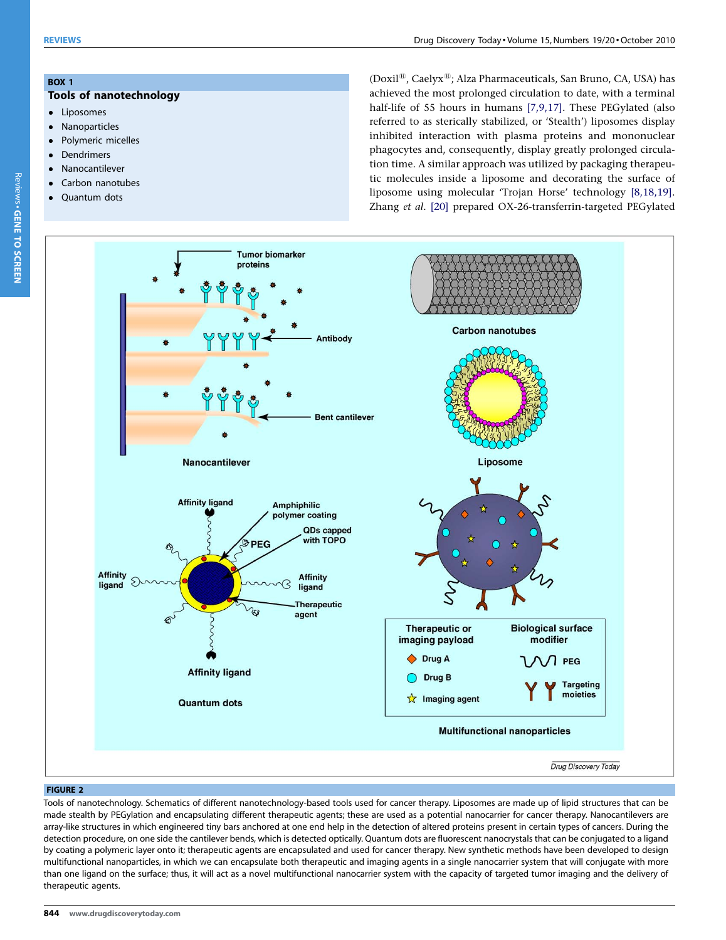# <span id="page-2-0"></span>BOX 1

# Tools of nanotechnology

- $\bullet$ Liposomes
- $\bullet$ Nanoparticles
- $\bullet$ Polymeric micelles
- $\bullet$ Dendrimers
- $\bullet$ Nanocantilever
- $\bullet$ Carbon nanotubes
- $\bullet$ Quantum dots

(Doxil<sup>®</sup>, Caelyx<sup>®</sup>; Alza Pharmaceuticals, San Bruno, CA, USA) has achieved the most prolonged circulation to date, with a terminal half-life of 55 hours in humans [\[7,9,17\].](#page-8-0) These PEGylated (also referred to as sterically stabilized, or 'Stealth') liposomes display inhibited interaction with plasma proteins and mononuclear phagocytes and, consequently, display greatly prolonged circulation time. A similar approach was utilized by packaging therapeutic molecules inside a liposome and decorating the surface of liposome using molecular 'Trojan Horse' technology [\[8,18,19\]](#page-8-0). Zhang et al. [\[20\]](#page-8-0) prepared OX-26-transferrin-targeted PEGylated



#### FIGURE 2

Tools of nanotechnology. Schematics of different nanotechnology-based tools used for cancer therapy. Liposomes are made up of lipid structures that can be made stealth by PEGylation and encapsulating different therapeutic agents; these are used as a potential nanocarrier for cancer therapy. Nanocantilevers are array-like structures in which engineered tiny bars anchored at one end help in the detection of altered proteins present in certain types of cancers. During the detection procedure, on one side the cantilever bends, which is detected optically. Quantum dots are fluorescent nanocrystals that can be conjugated to a ligand by coating a polymeric layer onto it; therapeutic agents are encapsulated and used for cancer therapy. New synthetic methods have been developed to design multifunctional nanoparticles, in which we can encapsulate both therapeutic and imaging agents in a single nanocarrier system that will conjugate with more than one ligand on the surface; thus, it will act as a novel multifunctional nanocarrier system with the capacity of targeted tumor imaging and the delivery of therapeutic agents.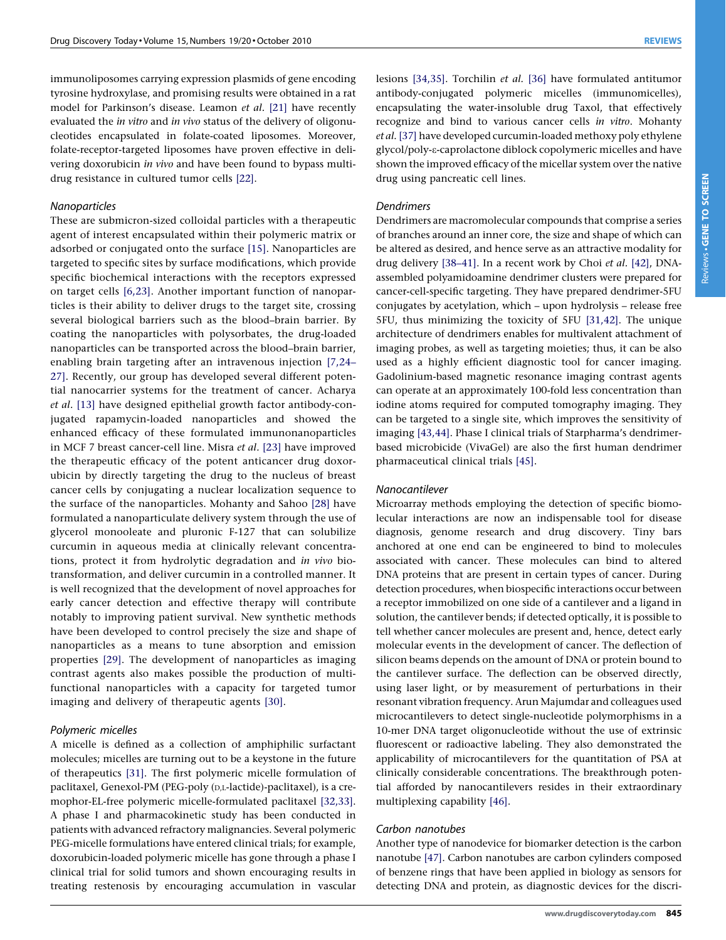immunoliposomes carrying expression plasmids of gene encoding tyrosine hydroxylase, and promising results were obtained in a rat model for Parkinson's disease. Leamon et al. [\[21\]](#page-8-0) have recently evaluated the in vitro and in vivo status of the delivery of oligonucleotides encapsulated in folate-coated liposomes. Moreover, folate-receptor-targeted liposomes have proven effective in delivering doxorubicin in vivo and have been found to bypass multidrug resistance in cultured tumor cells [\[22\]](#page-8-0).

# Nanoparticles

These are submicron-sized colloidal particles with a therapeutic agent of interest encapsulated within their polymeric matrix or adsorbed or conjugated onto the surface [\[15\].](#page-8-0) Nanoparticles are targeted to specific sites by surface modifications, which provide specific biochemical interactions with the receptors expressed on target cells [\[6,23\]](#page-8-0). Another important function of nanoparticles is their ability to deliver drugs to the target site, crossing several biological barriers such as the blood–brain barrier. By coating the nanoparticles with polysorbates, the drug-loaded nanoparticles can be transported across the blood–brain barrier, enabling brain targeting after an intravenous injection [\[7,24–](#page-8-0) [27\]](#page-8-0). Recently, our group has developed several different potential nanocarrier systems for the treatment of cancer. Acharya et al. [\[13\]](#page-8-0) have designed epithelial growth factor antibody-conjugated rapamycin-loaded nanoparticles and showed the enhanced efficacy of these formulated immunonanoparticles in MCF 7 breast cancer-cell line. Misra et al. [\[23\]](#page-8-0) have improved the therapeutic efficacy of the potent anticancer drug doxorubicin by directly targeting the drug to the nucleus of breast cancer cells by conjugating a nuclear localization sequence to the surface of the nanoparticles. Mohanty and Sahoo [\[28\]](#page-8-0) have formulated a nanoparticulate delivery system through the use of glycerol monooleate and pluronic F-127 that can solubilize curcumin in aqueous media at clinically relevant concentrations, protect it from hydrolytic degradation and in vivo biotransformation, and deliver curcumin in a controlled manner. It is well recognized that the development of novel approaches for early cancer detection and effective therapy will contribute notably to improving patient survival. New synthetic methods have been developed to control precisely the size and shape of nanoparticles as a means to tune absorption and emission properties [\[29\].](#page-8-0) The development of nanoparticles as imaging contrast agents also makes possible the production of multifunctional nanoparticles with a capacity for targeted tumor imaging and delivery of therapeutic agents [\[30\].](#page-8-0)

## Polymeric micelles

A micelle is defined as a collection of amphiphilic surfactant molecules; micelles are turning out to be a keystone in the future of therapeutics [\[31\].](#page-8-0) The first polymeric micelle formulation of paclitaxel, Genexol-PM (PEG-poly (D,L-lactide)-paclitaxel), is a cremophor-EL-free polymeric micelle-formulated paclitaxel [\[32,33\].](#page-8-0) A phase I and pharmacokinetic study has been conducted in patients with advanced refractory malignancies. Several polymeric PEG-micelle formulations have entered clinical trials; for example, doxorubicin-loaded polymeric micelle has gone through a phase I clinical trial for solid tumors and shown encouraging results in treating restenosis by encouraging accumulation in vascular lesions [\[34,35\].](#page-8-0) Torchilin et al. [\[36\]](#page-8-0) have formulated antitumor antibody-conjugated polymeric micelles (immunomicelles), encapsulating the water-insoluble drug Taxol, that effectively recognize and bind to various cancer cells in vitro. Mohanty et al. [\[37\]](#page-8-0) have developed curcumin-loaded methoxy poly ethylene glycol/poly-e-caprolactone diblock copolymeric micelles and have shown the improved efficacy of the micellar system over the native drug using pancreatic cell lines.

#### Dendrimers

Dendrimers are macromolecular compounds that comprise a series of branches around an inner core, the size and shape of which can be altered as desired, and hence serve as an attractive modality for drug delivery [\[38–41\]](#page-8-0). In a recent work by Choi et al. [\[42\]](#page-8-0), DNAassembled polyamidoamine dendrimer clusters were prepared for cancer-cell-specific targeting. They have prepared dendrimer-5FU conjugates by acetylation, which – upon hydrolysis – release free 5FU, thus minimizing the toxicity of 5FU [\[31,42\]](#page-8-0). The unique architecture of dendrimers enables for multivalent attachment of imaging probes, as well as targeting moieties; thus, it can be also used as a highly efficient diagnostic tool for cancer imaging. Gadolinium-based magnetic resonance imaging contrast agents can operate at an approximately 100-fold less concentration than iodine atoms required for computed tomography imaging. They can be targeted to a single site, which improves the sensitivity of imaging [\[43,44\].](#page-8-0) Phase I clinical trials of Starpharma's dendrimerbased microbicide (VivaGel) are also the first human dendrimer pharmaceutical clinical trials [\[45\].](#page-8-0)

#### Nanocantilever

Microarray methods employing the detection of specific biomolecular interactions are now an indispensable tool for disease diagnosis, genome research and drug discovery. Tiny bars anchored at one end can be engineered to bind to molecules associated with cancer. These molecules can bind to altered DNA proteins that are present in certain types of cancer. During detection procedures, when biospecific interactions occur between a receptor immobilized on one side of a cantilever and a ligand in solution, the cantilever bends; if detected optically, it is possible to tell whether cancer molecules are present and, hence, detect early molecular events in the development of cancer. The deflection of silicon beams depends on the amount of DNA or protein bound to the cantilever surface. The deflection can be observed directly, using laser light, or by measurement of perturbations in their resonant vibration frequency. Arun Majumdar and colleagues used microcantilevers to detect single-nucleotide polymorphisms in a 10-mer DNA target oligonucleotide without the use of extrinsic fluorescent or radioactive labeling. They also demonstrated the applicability of microcantilevers for the quantitation of PSA at clinically considerable concentrations. The breakthrough potential afforded by nanocantilevers resides in their extraordinary multiplexing capability [\[46\]](#page-8-0).

#### Carbon nanotubes

Another type of nanodevice for biomarker detection is the carbon nanotube [\[47\]](#page-8-0). Carbon nanotubes are carbon cylinders composed of benzene rings that have been applied in biology as sensors for detecting DNA and protein, as diagnostic devices for the discri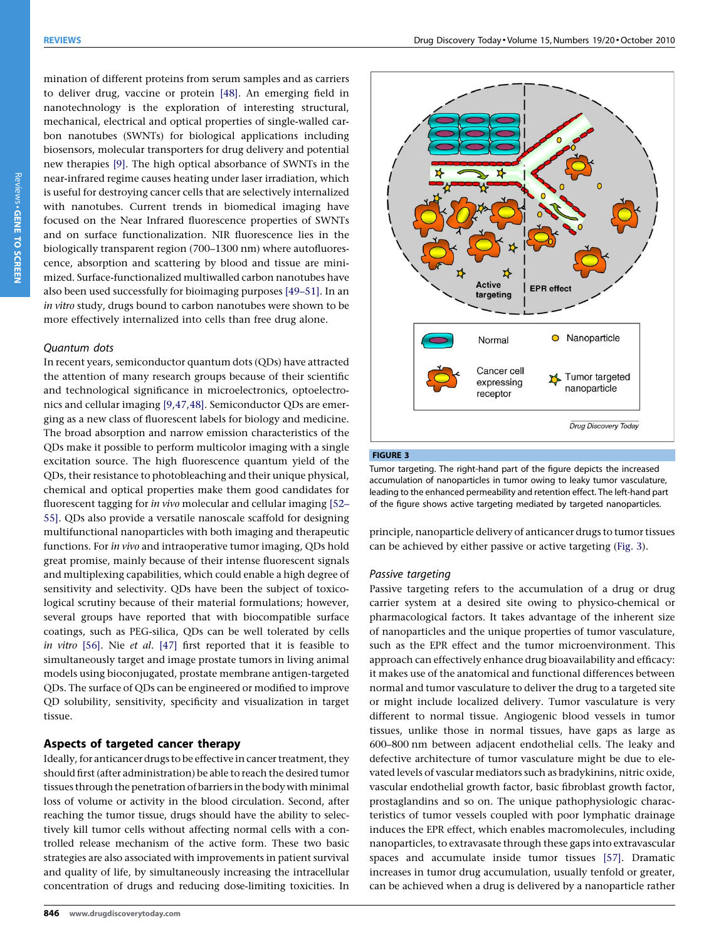mination of different proteins from serum samples and as carriers to deliver drug, vaccine or protein [\[48\].](#page-8-0) An emerging field in nanotechnology is the exploration of interesting structural, mechanical, electrical and optical properties of single-walled carbon nanotubes (SWNTs) for biological applications including biosensors, molecular transporters for drug delivery and potential new therapies [\[9\].](#page-8-0) The high optical absorbance of SWNTs in the near-infrared regime causes heating under laser irradiation, which is useful for destroying cancer cells that are selectively internalized with nanotubes. Current trends in biomedical imaging have focused on the Near Infrared fluorescence properties of SWNTs and on surface functionalization. NIR fluorescence lies in the biologically transparent region (700–1300 nm) where autofluorescence, absorption and scattering by blood and tissue are minimized. Surface-functionalized multiwalled carbon nanotubes have also been used successfully for bioimaging purposes [\[49–51\].](#page-8-0) In an in vitro study, drugs bound to carbon nanotubes were shown to be more effectively internalized into cells than free drug alone.

# Quantum dots

In recent years, semiconductor quantum dots (QDs) have attracted the attention of many research groups because of their scientific and technological significance in microelectronics, optoelectronics and cellular imaging [\[9,47,48\].](#page-8-0) Semiconductor QDs are emerging as a new class of fluorescent labels for biology and medicine. The broad absorption and narrow emission characteristics of the QDs make it possible to perform multicolor imaging with a single excitation source. The high fluorescence quantum yield of the QDs, their resistance to photobleaching and their unique physical, chemical and optical properties make them good candidates for fluorescent tagging for in vivo molecular and cellular imaging [\[52–](#page-8-0) [55\]](#page-8-0). QDs also provide a versatile nanoscale scaffold for designing multifunctional nanoparticles with both imaging and therapeutic functions. For in vivo and intraoperative tumor imaging, QDs hold great promise, mainly because of their intense fluorescent signals and multiplexing capabilities, which could enable a high degree of sensitivity and selectivity. QDs have been the subject of toxicological scrutiny because of their material formulations; however, several groups have reported that with biocompatible surface coatings, such as PEG-silica, QDs can be well tolerated by cells in vitro  $[56]$ . Nie et al.  $[47]$  first reported that it is feasible to simultaneously target and image prostate tumors in living animal models using bioconjugated, prostate membrane antigen-targeted QDs. The surface of QDs can be engineered or modified to improve QD solubility, sensitivity, specificity and visualization in target tissue.

# Aspects of targeted cancer therapy

Ideally, for anticancer drugs to be effective in cancer treatment, they should first (after administration) be able to reach the desired tumor tissues through the penetration of barriers in the body with minimal loss of volume or activity in the blood circulation. Second, after reaching the tumor tissue, drugs should have the ability to selectively kill tumor cells without affecting normal cells with a controlled release mechanism of the active form. These two basic strategies are also associated with improvements in patient survival and quality of life, by simultaneously increasing the intracellular concentration of drugs and reducing dose-limiting toxicities. In



#### FIGURE 3

Tumor targeting. The right-hand part of the figure depicts the increased accumulation of nanoparticles in tumor owing to leaky tumor vasculature, leading to the enhanced permeability and retention effect. The left-hand part of the figure shows active targeting mediated by targeted nanoparticles.

principle, nanoparticle delivery of anticancer drugs to tumor tissues can be achieved by either passive or active targeting (Fig. 3).

#### Passive targeting

Passive targeting refers to the accumulation of a drug or drug carrier system at a desired site owing to physico-chemical or pharmacological factors. It takes advantage of the inherent size of nanoparticles and the unique properties of tumor vasculature, such as the EPR effect and the tumor microenvironment. This approach can effectively enhance drug bioavailability and efficacy: it makes use of the anatomical and functional differences between normal and tumor vasculature to deliver the drug to a targeted site or might include localized delivery. Tumor vasculature is very different to normal tissue. Angiogenic blood vessels in tumor tissues, unlike those in normal tissues, have gaps as large as 600–800 nm between adjacent endothelial cells. The leaky and defective architecture of tumor vasculature might be due to elevated levels of vascular mediators such as bradykinins, nitric oxide, vascular endothelial growth factor, basic fibroblast growth factor, prostaglandins and so on. The unique pathophysiologic characteristics of tumor vessels coupled with poor lymphatic drainage induces the EPR effect, which enables macromolecules, including nanoparticles, to extravasate through these gaps into extravascular spaces and accumulate inside tumor tissues [\[57\]](#page-8-0). Dramatic increases in tumor drug accumulation, usually tenfold or greater, can be achieved when a drug is delivered by a nanoparticle rather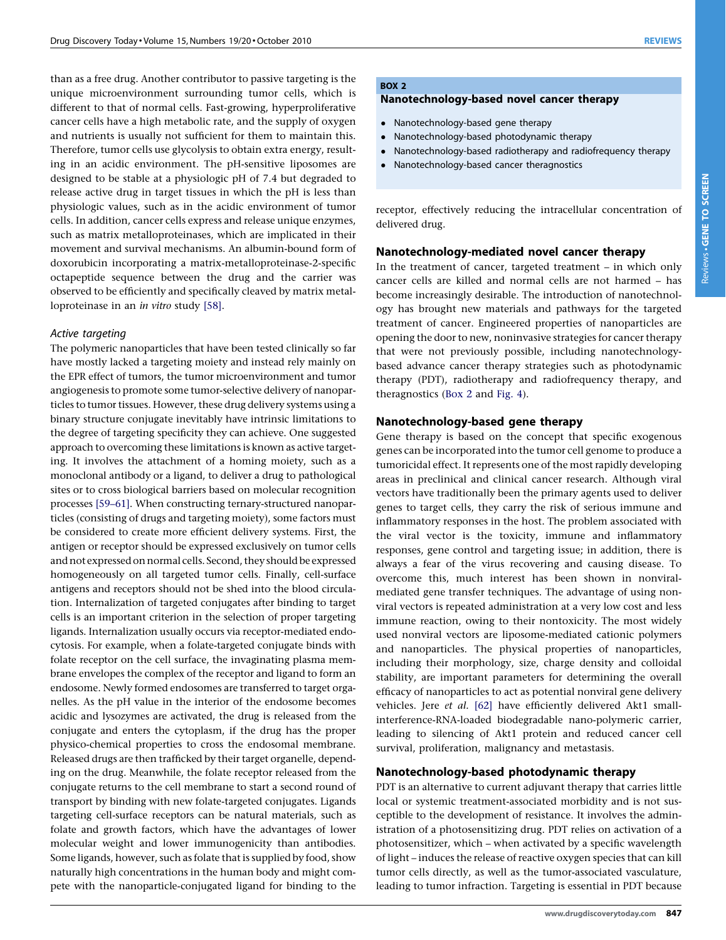than as a free drug. Another contributor to passive targeting is the unique microenvironment surrounding tumor cells, which is different to that of normal cells. Fast-growing, hyperproliferative cancer cells have a high metabolic rate, and the supply of oxygen and nutrients is usually not sufficient for them to maintain this. Therefore, tumor cells use glycolysis to obtain extra energy, resulting in an acidic environment. The pH-sensitive liposomes are designed to be stable at a physiologic pH of 7.4 but degraded to release active drug in target tissues in which the pH is less than physiologic values, such as in the acidic environment of tumor cells. In addition, cancer cells express and release unique enzymes, such as matrix metalloproteinases, which are implicated in their movement and survival mechanisms. An albumin-bound form of doxorubicin incorporating a matrix-metalloproteinase-2-specific octapeptide sequence between the drug and the carrier was observed to be efficiently and specifically cleaved by matrix metalloproteinase in an *in vitro* study [\[58\]](#page-8-0).

# Active targeting

The polymeric nanoparticles that have been tested clinically so far have mostly lacked a targeting moiety and instead rely mainly on the EPR effect of tumors, the tumor microenvironment and tumor angiogenesis to promote some tumor-selective delivery of nanoparticles to tumor tissues. However, these drug delivery systems using a binary structure conjugate inevitably have intrinsic limitations to the degree of targeting specificity they can achieve. One suggested approach to overcoming these limitations is known as active targeting. It involves the attachment of a homing moiety, such as a monoclonal antibody or a ligand, to deliver a drug to pathological sites or to cross biological barriers based on molecular recognition processes [\[59–61\].](#page-8-0) When constructing ternary-structured nanoparticles (consisting of drugs and targeting moiety), some factors must be considered to create more efficient delivery systems. First, the antigen or receptor should be expressed exclusively on tumor cells and not expressed on normal cells. Second, they should be expressed homogeneously on all targeted tumor cells. Finally, cell-surface antigens and receptors should not be shed into the blood circulation. Internalization of targeted conjugates after binding to target cells is an important criterion in the selection of proper targeting ligands. Internalization usually occurs via receptor-mediated endocytosis. For example, when a folate-targeted conjugate binds with folate receptor on the cell surface, the invaginating plasma membrane envelopes the complex of the receptor and ligand to form an endosome. Newly formed endosomes are transferred to target organelles. As the pH value in the interior of the endosome becomes acidic and lysozymes are activated, the drug is released from the conjugate and enters the cytoplasm, if the drug has the proper physico-chemical properties to cross the endosomal membrane. Released drugs are then trafficked by their target organelle, depending on the drug. Meanwhile, the folate receptor released from the conjugate returns to the cell membrane to start a second round of transport by binding with new folate-targeted conjugates. Ligands targeting cell-surface receptors can be natural materials, such as folate and growth factors, which have the advantages of lower molecular weight and lower immunogenicity than antibodies. Some ligands, however, such as folate that is supplied by food, show naturally high concentrations in the human body and might compete with the nanoparticle-conjugated ligand for binding to the

# BOX 2

 $\bullet$ 

# Nanotechnology-based novel cancer therapy

- Nanotechnology-based gene therapy
- $\bullet$ Nanotechnology-based photodynamic therapy
- Nanotechnology-based radiotherapy and radiofrequency therapy
- $\bullet$ Nanotechnology-based cancer theragnostics

receptor, effectively reducing the intracellular concentration of delivered drug.

# Nanotechnology-mediated novel cancer therapy

In the treatment of cancer, targeted treatment – in which only cancer cells are killed and normal cells are not harmed – has become increasingly desirable. The introduction of nanotechnology has brought new materials and pathways for the targeted treatment of cancer. Engineered properties of nanoparticles are opening the door to new, noninvasive strategies for cancer therapy that were not previously possible, including nanotechnologybased advance cancer therapy strategies such as photodynamic therapy (PDT), radiotherapy and radiofrequency therapy, and theragnostics (Box 2 and [Fig. 4](#page-6-0)).

## Nanotechnology-based gene therapy

Gene therapy is based on the concept that specific exogenous genes can be incorporated into the tumor cell genome to produce a tumoricidal effect. It represents one of the most rapidly developing areas in preclinical and clinical cancer research. Although viral vectors have traditionally been the primary agents used to deliver genes to target cells, they carry the risk of serious immune and inflammatory responses in the host. The problem associated with the viral vector is the toxicity, immune and inflammatory responses, gene control and targeting issue; in addition, there is always a fear of the virus recovering and causing disease. To overcome this, much interest has been shown in nonviralmediated gene transfer techniques. The advantage of using nonviral vectors is repeated administration at a very low cost and less immune reaction, owing to their nontoxicity. The most widely used nonviral vectors are liposome-mediated cationic polymers and nanoparticles. The physical properties of nanoparticles, including their morphology, size, charge density and colloidal stability, are important parameters for determining the overall efficacy of nanoparticles to act as potential nonviral gene delivery vehicles. Jere et al. [\[62\]](#page-8-0) have efficiently delivered Akt1 smallinterference-RNA-loaded biodegradable nano-polymeric carrier, leading to silencing of Akt1 protein and reduced cancer cell survival, proliferation, malignancy and metastasis.

# Nanotechnology-based photodynamic therapy

PDT is an alternative to current adjuvant therapy that carries little local or systemic treatment-associated morbidity and is not susceptible to the development of resistance. It involves the administration of a photosensitizing drug. PDT relies on activation of a photosensitizer, which – when activated by a specific wavelength of light – induces the release of reactive oxygen species that can kill tumor cells directly, as well as the tumor-associated vasculature, leading to tumor infraction. Targeting is essential in PDT because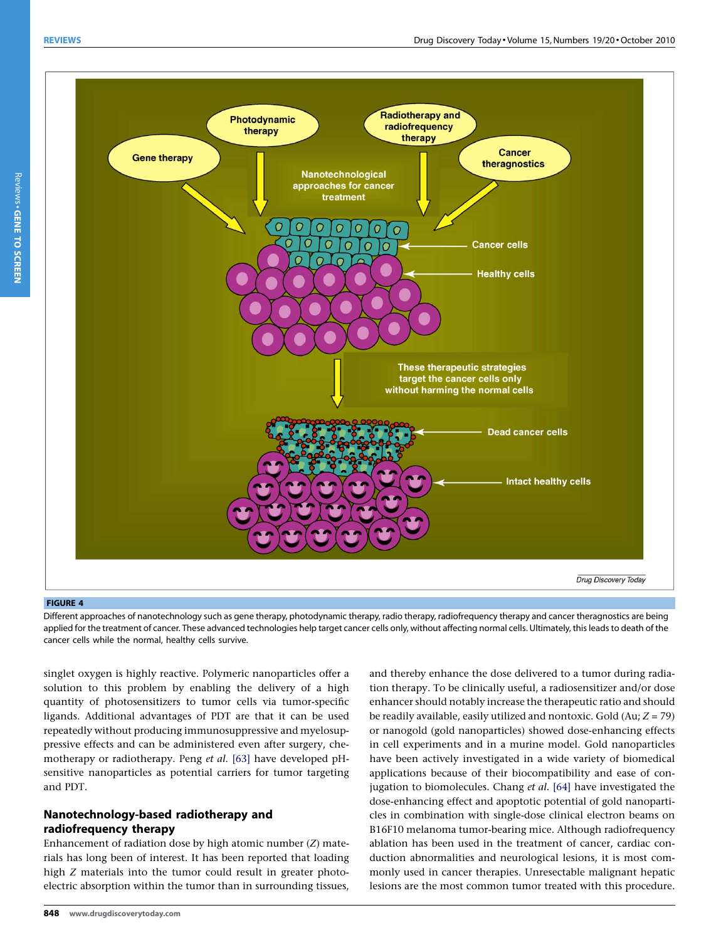

<span id="page-6-0"></span>

#### FIGURE 4

Different approaches of nanotechnology such as gene therapy, photodynamic therapy, radio therapy, radiofrequency therapy and cancer theragnostics are being applied for the treatment of cancer. These advanced technologies help target cancer cells only, without affecting normal cells. Ultimately, this leads to death of the cancer cells while the normal, healthy cells survive.

singlet oxygen is highly reactive. Polymeric nanoparticles offer a solution to this problem by enabling the delivery of a high quantity of photosensitizers to tumor cells via tumor-specific ligands. Additional advantages of PDT are that it can be used repeatedly without producing immunosuppressive and myelosuppressive effects and can be administered even after surgery, chemotherapy or radiotherapy. Peng et al. [\[63\]](#page-8-0) have developed pHsensitive nanoparticles as potential carriers for tumor targeting and PDT.

# Nanotechnology-based radiotherapy and radiofrequency therapy

Enhancement of radiation dose by high atomic number  $(Z)$  materials has long been of interest. It has been reported that loading high Z materials into the tumor could result in greater photoelectric absorption within the tumor than in surrounding tissues,

and thereby enhance the dose delivered to a tumor during radiation therapy. To be clinically useful, a radiosensitizer and/or dose enhancer should notably increase the therapeutic ratio and should be readily available, easily utilized and nontoxic. Gold (Au;  $Z = 79$ ) or nanogold (gold nanoparticles) showed dose-enhancing effects in cell experiments and in a murine model. Gold nanoparticles have been actively investigated in a wide variety of biomedical applications because of their biocompatibility and ease of con-jugation to biomolecules. Chang et al. [\[64\]](#page-8-0) have investigated the dose-enhancing effect and apoptotic potential of gold nanoparticles in combination with single-dose clinical electron beams on B16F10 melanoma tumor-bearing mice. Although radiofrequency ablation has been used in the treatment of cancer, cardiac conduction abnormalities and neurological lesions, it is most commonly used in cancer therapies. Unresectable malignant hepatic lesions are the most common tumor treated with this procedure.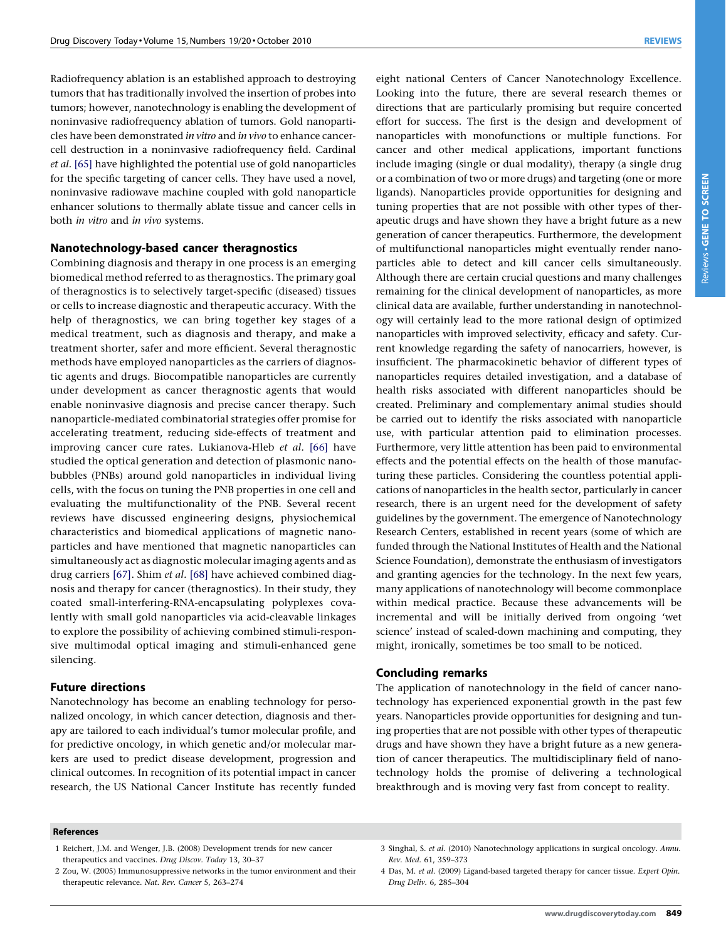<span id="page-7-0"></span>Radiofrequency ablation is an established approach to destroying tumors that has traditionally involved the insertion of probes into tumors; however, nanotechnology is enabling the development of noninvasive radiofrequency ablation of tumors. Gold nanoparticles have been demonstrated in vitro and in vivo to enhance cancercell destruction in a noninvasive radiofrequency field. Cardinal et al. [\[65\]](#page-8-0) have highlighted the potential use of gold nanoparticles for the specific targeting of cancer cells. They have used a novel, noninvasive radiowave machine coupled with gold nanoparticle enhancer solutions to thermally ablate tissue and cancer cells in both in vitro and in vivo systems.

# Nanotechnology-based cancer theragnostics

Combining diagnosis and therapy in one process is an emerging biomedical method referred to as theragnostics. The primary goal of theragnostics is to selectively target-specific (diseased) tissues or cells to increase diagnostic and therapeutic accuracy. With the help of theragnostics, we can bring together key stages of a medical treatment, such as diagnosis and therapy, and make a treatment shorter, safer and more efficient. Several theragnostic methods have employed nanoparticles as the carriers of diagnostic agents and drugs. Biocompatible nanoparticles are currently under development as cancer theragnostic agents that would enable noninvasive diagnosis and precise cancer therapy. Such nanoparticle-mediated combinatorial strategies offer promise for accelerating treatment, reducing side-effects of treatment and improving cancer cure rates. Lukianova-Hleb et al. [\[66\]](#page-8-0) have studied the optical generation and detection of plasmonic nanobubbles (PNBs) around gold nanoparticles in individual living cells, with the focus on tuning the PNB properties in one cell and evaluating the multifunctionality of the PNB. Several recent reviews have discussed engineering designs, physiochemical characteristics and biomedical applications of magnetic nanoparticles and have mentioned that magnetic nanoparticles can simultaneously act as diagnostic molecular imaging agents and as drug carriers [\[67\].](#page-8-0) Shim et al. [\[68\]](#page-8-0) have achieved combined diagnosis and therapy for cancer (theragnostics). In their study, they coated small-interfering-RNA-encapsulating polyplexes covalently with small gold nanoparticles via acid-cleavable linkages to explore the possibility of achieving combined stimuli-responsive multimodal optical imaging and stimuli-enhanced gene silencing.

# Future directions

Nanotechnology has become an enabling technology for personalized oncology, in which cancer detection, diagnosis and therapy are tailored to each individual's tumor molecular profile, and for predictive oncology, in which genetic and/or molecular markers are used to predict disease development, progression and clinical outcomes. In recognition of its potential impact in cancer research, the US National Cancer Institute has recently funded

eight national Centers of Cancer Nanotechnology Excellence. Looking into the future, there are several research themes or directions that are particularly promising but require concerted effort for success. The first is the design and development of nanoparticles with monofunctions or multiple functions. For cancer and other medical applications, important functions include imaging (single or dual modality), therapy (a single drug or a combination of two or more drugs) and targeting (one or more ligands). Nanoparticles provide opportunities for designing and tuning properties that are not possible with other types of therapeutic drugs and have shown they have a bright future as a new generation of cancer therapeutics. Furthermore, the development of multifunctional nanoparticles might eventually render nanoparticles able to detect and kill cancer cells simultaneously. Although there are certain crucial questions and many challenges remaining for the clinical development of nanoparticles, as more clinical data are available, further understanding in nanotechnology will certainly lead to the more rational design of optimized nanoparticles with improved selectivity, efficacy and safety. Current knowledge regarding the safety of nanocarriers, however, is insufficient. The pharmacokinetic behavior of different types of nanoparticles requires detailed investigation, and a database of health risks associated with different nanoparticles should be created. Preliminary and complementary animal studies should be carried out to identify the risks associated with nanoparticle use, with particular attention paid to elimination processes. Furthermore, very little attention has been paid to environmental effects and the potential effects on the health of those manufacturing these particles. Considering the countless potential applications of nanoparticles in the health sector, particularly in cancer research, there is an urgent need for the development of safety guidelines by the government. The emergence of Nanotechnology Research Centers, established in recent years (some of which are funded through the National Institutes of Health and the National Science Foundation), demonstrate the enthusiasm of investigators and granting agencies for the technology. In the next few years, many applications of nanotechnology will become commonplace within medical practice. Because these advancements will be incremental and will be initially derived from ongoing 'wet science' instead of scaled-down machining and computing, they might, ironically, sometimes be too small to be noticed.

# Concluding remarks

The application of nanotechnology in the field of cancer nanotechnology has experienced exponential growth in the past few years. Nanoparticles provide opportunities for designing and tuning properties that are not possible with other types of therapeutic drugs and have shown they have a bright future as a new generation of cancer therapeutics. The multidisciplinary field of nanotechnology holds the promise of delivering a technological breakthrough and is moving very fast from concept to reality.

#### References

<sup>1</sup> Reichert, J.M. and Wenger, J.B. (2008) Development trends for new cancer therapeutics and vaccines. Drug Discov. Today 13, 30–37

<sup>2</sup> Zou, W. (2005) Immunosuppressive networks in the tumor environment and their therapeutic relevance. Nat. Rev. Cancer 5, 263–274

<sup>3</sup> Singhal, S. et al. (2010) Nanotechnology applications in surgical oncology. Annu. Rev. Med. 61, 359–373

<sup>4</sup> Das, M. et al. (2009) Ligand-based targeted therapy for cancer tissue. Expert Opin. Drug Deliv. 6, 285–304